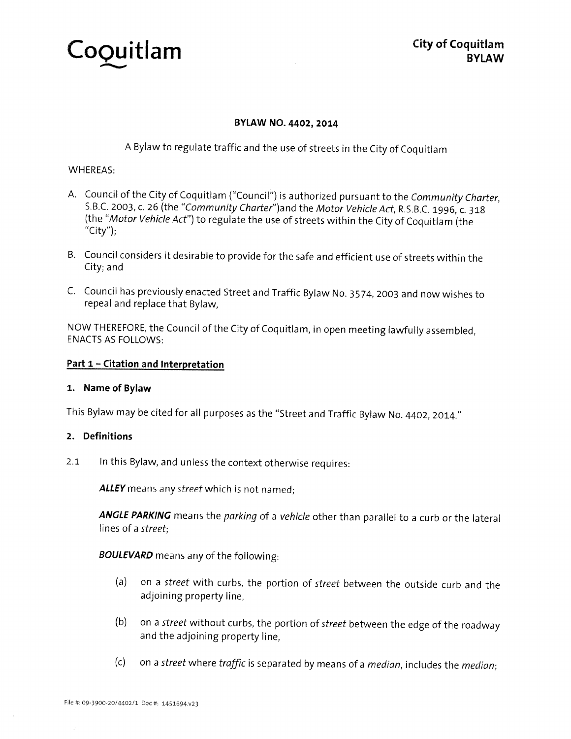Coquitlam Cousting City of Coquitlam

**City of Coquitlam** 

# BYLAW NO. 4402, 2014

<sup>A</sup> Bylaw to regulate traffic and the use of streets in the City of Coquitlam

### WHEREAS:

- A. Council of the City of Coquitlam ("Council") is authorized pursuant to the Community Charter, S.B.C. 2003, c. 26 (the "Community Charter")and the Motor Vehicle Act, R.S.B.C. 1996, c. 318 (the "Motor Vehicle Act") to regulate the use of streets within the City of Coquitlam (the "City");
- B. Council considers it desirable to provide for the safe and efficient use of streets within the City; and
- C. Council has previously enacted Street and Traffic Bylaw No. 3574, <sup>2003</sup> and now wishes to repeal and replace that Bylaw,

NOW THEREFORE, the Council of the City of Coquitlam, in open meeting lawfully assembled, ENACTS AS FOLLOWS:

#### Part 1 - Citation and Interpretation

# 1. Name of Bylaw

This Bylaw may be cited for all purposes as the "Street and Traffic Bylaw No. 4402, 2014."

# 2. Definitions

2.1 In this Bylaw, and unless the context otherwise requires:

ALLEY means any street which is not named;

ANGLE PARKING means the parking of a vehicle other than parallel to a curb or the lateral lines of <sup>a</sup> street;

**BOULEVARD** means any of the following:

- (a) on <sup>a</sup> street with curbs, the portion of street between the outside curb and the adjoining property line,
- (b) on <sup>a</sup> street without curbs, the portion of street between the edge of the roadway and the adjoining property line,
- (c) on <sup>a</sup> street where traffic is separated by means of <sup>a</sup> median, includes the median;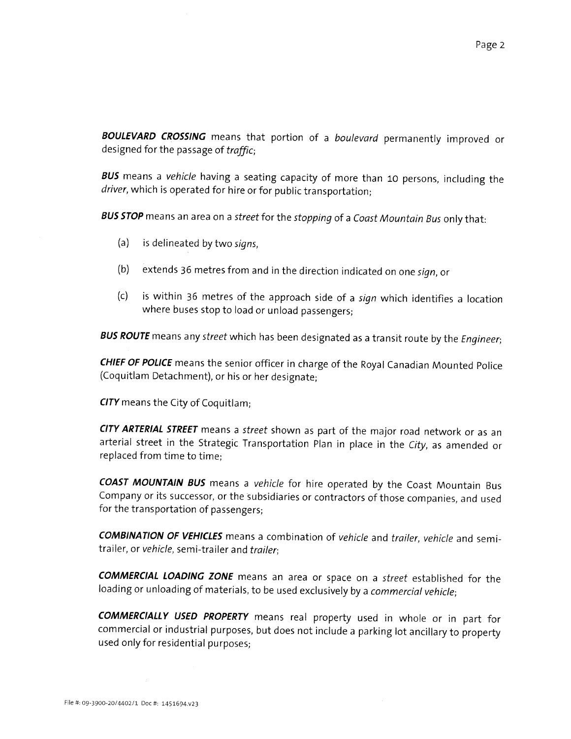BOULEVARD CROSSING means that portion of a boulevard permanently improved or designed for the passage of traffic;

BUS means a vehicle having a seating capacity of more than 10 persons, including the driver, which is operated for hire or for public transportation;

BUS STOP means an area on a street for the stopping of a Coast Mountain Bus only that:

- (a) is delineated by two signs,
- (b) extends <sup>36</sup> metres from and in the direction indicated on one sign, or
- (c) is within <sup>36</sup> metres of the approach side of <sup>a</sup> sign which identifies <sup>a</sup> location where buses stop to load or unload passengers;

BUS ROUTE means any street which has been designated as a transit route by the Engineer;

CHIEF OF POLICE means the senior officer in charge of the Royal Canadian Mounted Police (Coquitlam Detachment), or his or her designate;

CITY means the City of Coquitlam;

CITY ARTERIAL STREET means a street shown as part of the major road network or as an arterial street in the Strategic Transportation Plan in <sup>p</sup>lace in the City, as amended or replaced from time to time;

COAST MOUNTAIN BUS means a vehicle for hire operated by the Coast Mountain Bus Company or its successor, or the subsidiaries or contractors of those companies, and used for the transportation of passengers;

COMBINATION OF VEHICLES means a combination of vehicle and trailer, vehicle and semitrailer, or vehicle, semi-trailer and trailer;

COMMERCIAL LOADING ZONE means an area or space on a street established for the loading or unloading of materials, to be used exclusively by <sup>a</sup> commercial vehicle;

COMMERCIALLY USED PROPERTY means real property used in whole or in part for commercial or industrial purposes, but does not include <sup>a</sup> parking lot ancillary to property used only for residential purposes;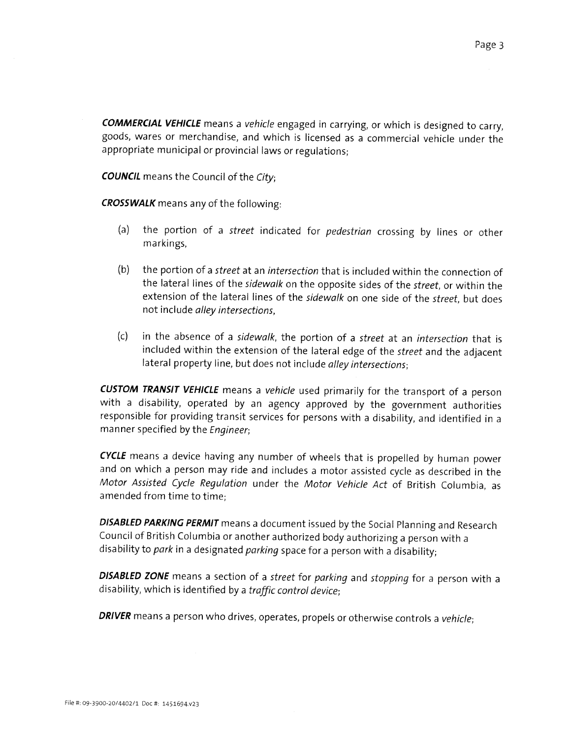COMMERCIAL VEHICLE means a vehicle engaged in carrying, or which is designed to carry, goods, wares or merchandise, and which is licensed as <sup>a</sup> commercial vehicle under the appropriate municipal or provincial laws or regulations;

**COUNCIL** means the Council of the City;

CROSSWALK means any of the following:

- (a) the portion of <sup>a</sup> street indicated for pedestrian crossing by lines or other markings,
- (b) the portion of <sup>a</sup> street at an intersection that is included within the connection of the lateral lines of the sidewalk on the opposite sides of the street, or within the extension of the lateral lines of the sidewalk on one side of the street, but does not include alley intersections,
- (c) in the absence of <sup>a</sup> sidewalk, the portion of <sup>a</sup> street at an intersection that is included within the extension of the lateral edge of the street and the adjacent lateral property line, but does not include alley intersections;

**CUSTOM TRANSIT VEHICLE** means a vehicle used primarily for the transport of a person with <sup>a</sup> disability, operated by an agency approved by the government authorities responsible for providing transit services for persons with <sup>a</sup> disability, and identified in <sup>a</sup> manner specified by the Engineer;

CYCLE means a device having any number of wheels that is propelled by human power and on which <sup>a</sup> person may ride and includes <sup>a</sup> motor assisted cycle as described in the Motor Assisted Cycle Regulation under the Motor Vehicle Act of British Columbia, as amended from time to time;

DISABLED PARKING PERMIT means a document issued by the Social Planning and Research Council of British Columbia or another authorized body authorizing <sup>a</sup> person with <sup>a</sup> disability to park in a designated parking space for a person with a disability;

DISABLED ZONE means a section of a street for parking and stopping for a person with a disability, which is identified by <sup>a</sup> traffic control device;

DRIVER means a person who drives, operates, propels or otherwise controls a vehicle;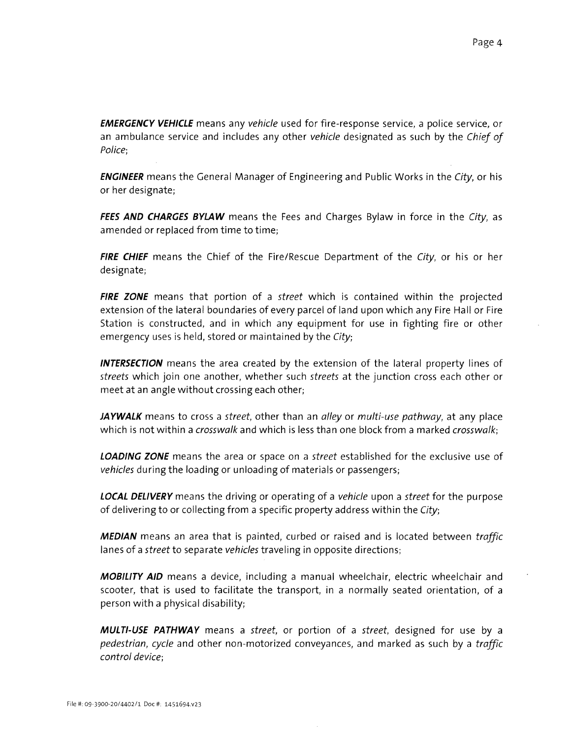**EMERGENCY VEHICLE** means any vehicle used for fire-response service, a police service, or an ambulance service and includes any other vehicle designated as such by the Chief of Police;

**ENGINEER** means the General Manager of Engineering and Public Works in the City, or his or her designate;

FEES AND CHARGES BYLAW means the Fees and Charges Bylaw in force in the City, as amended or replaced from time to time;

FIRE CHIEF means the Chief of the Fire/Rescue Department of the City, or his or her designate;

FIRE ZONE means that portion of a street which is contained within the projected extension of the lateral boundaries of every parcel of land upon which any Fire Hall or Fire Station is constructed, and in which any equipment for use in fighting fire or other emergency uses is held, stored or maintained by the City;

**INTERSECTION** means the area created by the extension of the lateral property lines of streets which join one another, whether such streets at the junction cross each other or meet at an angle without crossing each other;

JAYWALK means to cross a street, other than an alley or multi-use pathway, at any place which is not within a *crosswalk* and which is less than one block from a marked *crosswalk*;

LOADING ZONE means the area or space on a street established for the exclusive use of vehicles during the loading or unloading of materials or passengers;

**LOCAL DELIVERY** means the driving or operating of a vehicle upon a street for the purpose of delivering to or collecting from a specific property address within the City;

**MEDIAN** means an area that is painted, curbed or raised and is located between traffic lanes of a street to separate vehicles traveling in opposite directions;

**MOBILITY AID** means a device, including a manual wheelchair, electric wheelchair and scooter, that is used to facilitate the transport, in <sup>a</sup> normally seated orientation, of a person with a physical disability;

**MULTI-USE PATHWAY** means a street, or portion of a street, designed for use by a pedestrian, cycle and other non-motorized conveyances, and marked as such by a traffic control device;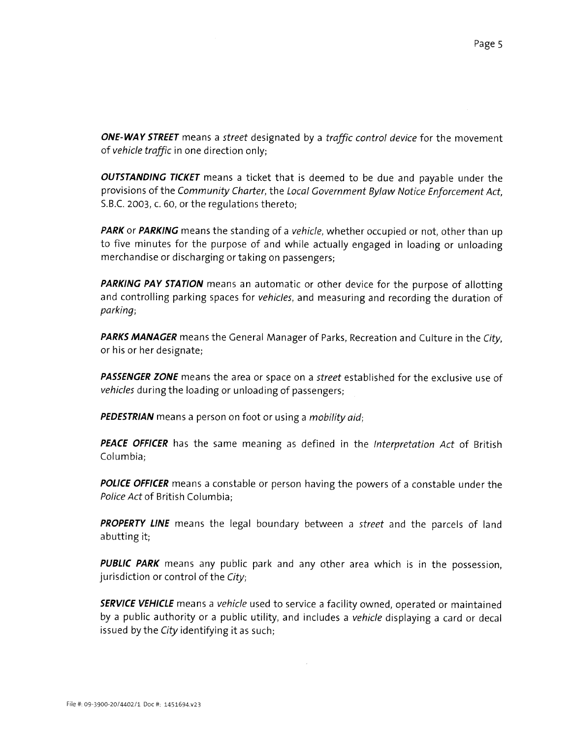ONE-WAY STREET means a street designated by a traffic control device for the movement of vehicle traffic in one direction only;

**OUTSTANDING TICKET** means a ticket that is deemed to be due and payable under the provisions of the Community Charter, the Local Government Bylaw Notice Enforcement Act. S.B.C. 2003, c. 60, or the regulations thereto;

PARK or PARKING means the standing of a vehicle, whether occupied or not, other than up to five minutes for the purpose of and while actually engaged in loading or unloading merchandise or discharging or taking on passengers;

PARKING PAY STATION means an automatic or other device for the purpose of allotting and controlling parking spaces for vehicles, and measuring and recording the duration of parking;

PARKS MANAGER means the General Manager of Parks, Recreation and Culture in the City, or his or her designate;

**PASSENGER ZONE** means the area or space on a street established for the exclusive use of vehicles during the loading or unloading of passengers;

**PEDESTRIAN** means a person on foot or using a *mobility aid*;

**PEACE OFFICER** has the same meaning as defined in the Interpretation Act of British Columbia;

**POLICE OFFICER** means a constable or person having the powers of a constable under the Police Act of British Columbia;

PROPERTY LINE means the legal boundary between a street and the parcels of land abutting it;

PUBLIC PARK means any public park and any other area which is in the possession, jurisdiction or control of the City;

**SERVICE VEHICLE** means a vehicle used to service a facility owned, operated or maintained by a public authority or <sup>a</sup> public utility, and includes <sup>a</sup> vehicle displaying a card or decal issued by the City identifying it as such;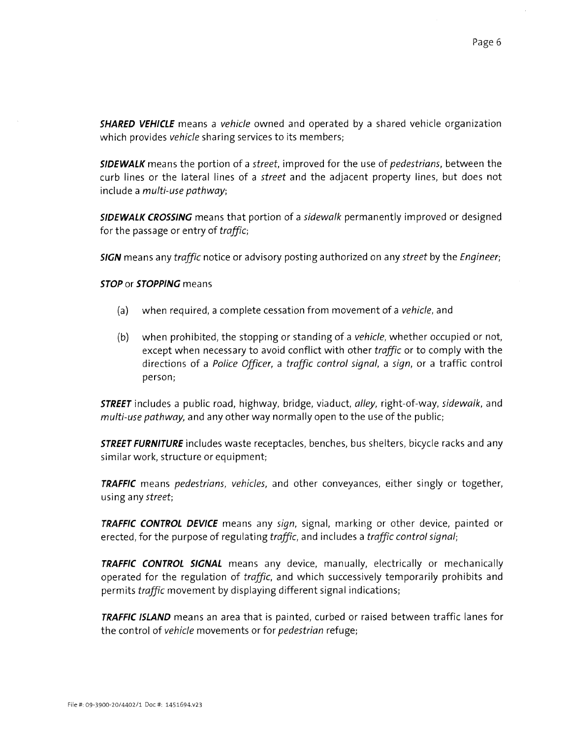**SHARED VEHICLE** means a vehicle owned and operated by a shared vehicle organization which provides vehicle sharing services to its members;

SIDEWALK means the portion of a street, improved for the use of pedestrians, between the curb lines or the lateral lines of a street and the adjacent property lines, but does not include a multi-use pathway;

**SIDEWALK CROSSING** means that portion of a sidewalk permanently improved or designed for the passage or entry of traffic;

SIGN means any traffic notice or advisory posting authorized on any street by the Engineer;

#### STOP or STOPPING means

- (a) when required, a complete cessation from movement of a vehicle, and
- (b) when prohibited, the stopping or standing of a vehicle, whether occupied or not, except when necessary to avoid conflict with other traffic or to comply with the directions of a Police Officer, a traffic control signal, <sup>a</sup> sign, or a traffic control person;

**STREET** includes a public road, highway, bridge, viaduct, alley, right-of-way, sidewalk, and multi-use pathway, and any other way normally open to the use of the public;

**STREET FURNITURE** includes waste receptacles, benches, bus shelters, bicycle racks and any similar work, structure or equipment;

**TRAFFIC** means pedestrians, vehicles, and other conveyances, either singly or together, using any street;

TRAFFIC CONTROL DEVICE means any sign, signal, marking or other device, painted or erected, for the purpose of regulating traffic, and includes a traffic control signal;

**TRAFFIC CONTROL SIGNAL** means any device, manually, electrically or mechanically operated for the regulation of traffic, and which successively temporarily prohibits and permits traffic movement by displaying different signal indications;

**TRAFFIC ISLAND** means an area that is painted, curbed or raised between traffic lanes for the control of vehicle movements or for pedestrian refuge;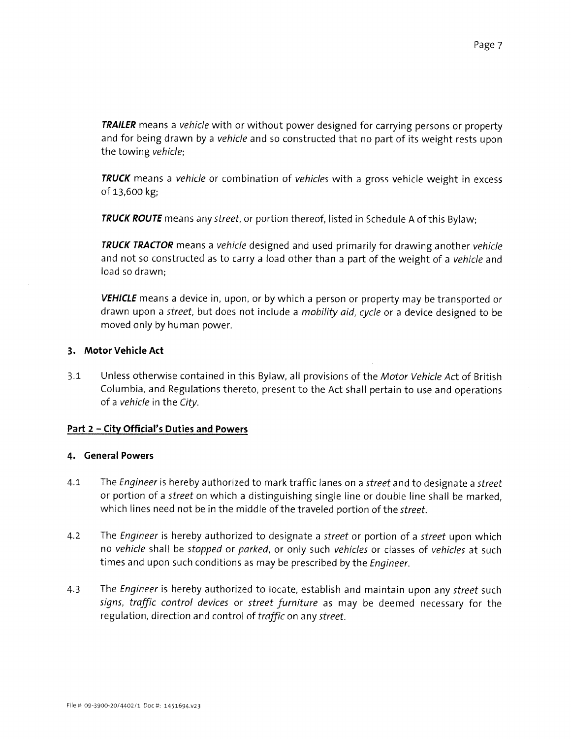**TRAILER** means a vehicle with or without power designed for carrying persons or property and for being drawn by <sup>a</sup> vehicle and so constructed that no part of its weight rests upon the towing vehicle;

**TRUCK** means a vehicle or combination of vehicles with a gross vehicle weight in excess of 13,600 kg;

**TRUCK ROUTE** means any street, or portion thereof, listed in Schedule A of this Bylaw;

TRUCK TRACTOR means a vehicle designed and used primarily for drawing another vehicle and not so constructed as to carry a load other than a part of the weight of a vehicle and load so drawn;

**VEHICLE** means a device in, upon, or by which a person or property may be transported or drawn upon a street, but does not include a mobility aid, cycle or a device designed to be moved only by human power.

# 3. Motor Vehicle Act

3.1 Unless otherwise contained in this Bylaw, all provisions of the Motor Vehicle Act of British Columbia, and Regulations thereto, present to the Act shall pertain to use and operations of a vehicle in the City.

# Part <sup>2</sup> — City Official's Duties and Powers

# 4. General Powers

- 4.1 The Engineer is hereby authorized to mark traffic lanes on a street and to designate a street or portion of <sup>a</sup> street on which <sup>a</sup> distinguishing single line or double line shall be marked, which lines need not be in the middle of the traveled portion of the street.
- 4.2 The Engineer is hereby authorized to designate a street or portion of a street upon which no vehicle shall be stopped or parked, or only such vehicles or classes of vehicles at such times and upon such conditions as may be prescribed by the Engineer.
- 4.3 The Engineer is hereby authorized to locate, establish and maintain upon any street such signs, traffic control devices or street furniture as may be deemed necessary for the regulation, direction and control of traffic on any street.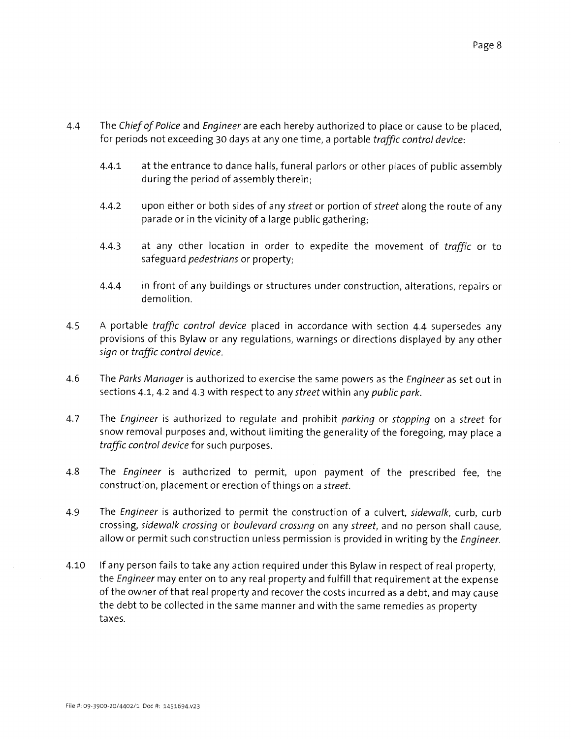- 4.4 The Chief of Police and Engineer are each hereby authorized to place or cause to be placed, for periods not exceeding 30 days at any one time, a portable traffic control device:
	- 4.4.1 at the entrance to dance halls, funeral parlors or other places of public assembly during the period of assembly therein;
	- 4.4.2 upon either or both sides of any street or portion of street along the route of any parade or in the vicinity of a large public gathering;
	- 4.4.3 at any other location in order to expedite the movement of traffic or to safeguard pedestrians or property;
	- 4.4.4 in front of any buildings or structures under construction, alterations, repairs or demolition.
- 4.5 A portable *traffic control device* placed in accordance with section 4.4 supersedes any provisions of this Bylaw or any regulations, warnings or directions displayed by any other sign or traffic control device.
- 4.6 The Parks Manager is authorized to exercise the same powers as the Engineer as set out in sections 4.1, 4.2 and 4.3 with respect to any street within any public park.
- 4.7 The Engineer is authorized to regulate and prohibit parking or stopping on a street for snow removal purposes and, without limiting the generality of the foregoing, may place a traffic control device for such purposes.
- 4.8 The Engineer is authorized to permit, upon payment of the prescribed fee, the construction, placement or erection of things on a street.
- 4.9 The Engineer is authorized to permit the construction of a culvert, sidewalk, curb, curb crossing, sidewalk crossing or boulevard crossing on any street, and no person shall cause, allow or permit such construction unless permission is provided in writing by the Engineer.
- 4.10 If any person fails to take any action required under this Bylaw in respect of real property, the Engineer may enter on to any real property and fulfill that requirement at the expense of the owner of that real property and recover the costs incurred as <sup>a</sup> debt, and may cause the debt to be collected in the same manner and with the same remedies as property taxes.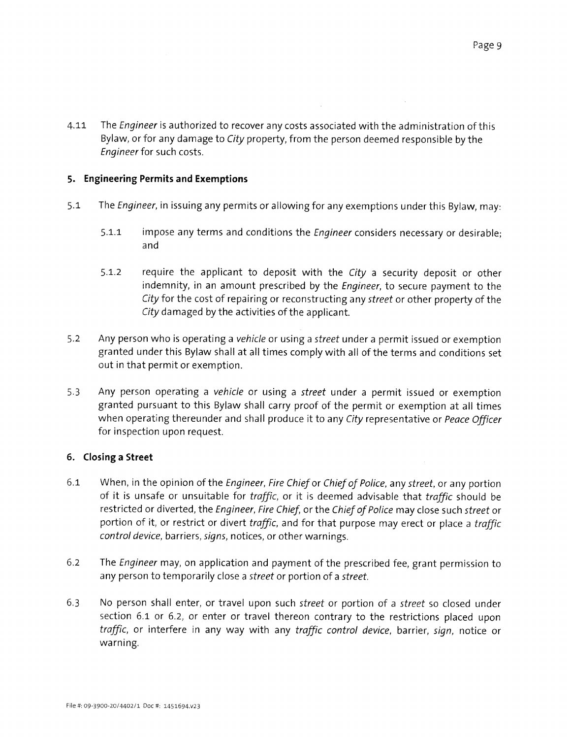4.11 The Engineer is authorized to recover any costs associated with the administration of this Bylaw, or for any damage to City property, from the person deemed responsible by the Engineer for such costs.

# 5. Engineering Permits and Exemptions

- 5.1 The Engineer, in issuing any permits or allowing for any exemptions under this Bylaw, may:
	- 5.1.1 impose any terms and conditions the *Engineer* considers necessary or desirable; and
	- 5.1.2 require the applicant to deposit with the City a security deposit or other indemnity, in an amount prescribed by the Engineer, to secure payment to the City for the cost of repairing or reconstructing any street or other property of the City damaged by the activities of the applicant.
- 5.2 Any person who is operating a vehicle or using a street under a permit issued or exemption granted under this Bylaw shall at all times comply with all of the terms and conditions set out in that permit or exemption.
- 5.3 Any person operating <sup>a</sup> vehicle or using <sup>a</sup> street under <sup>a</sup> permit issued or exemption granted pursuant to this Bylaw shall carry proof of the permit or exemption at all times when operating thereunder and shall produce it to any City representative or Peace Officer for inspection upon request.

# 6. Closing a Street

- 6.1 When, in the opinion of the Engineer, Fire Chief or Chief of Police, any street, or any portion of it is unsafe or unsuitable for traffic, or it is deemed advisable that traffic should be restricted or diverted, the Engineer, Fire Chief, or the Chief of Police may close such street or portion of it, or restrict or divert traffic, and for that purpose may erect or place a traffic control device, barriers, signs, notices, or other warnings.
- 6.2 The Engineer may, on application and payment of the prescribed fee, grant permission to any person to temporarily close a street or portion of a street.
- 6.3 No person shall enter, or travel upon such street or portion of a street so closed under section 6.1 or 6.2, or enter or travel thereon contrary to the restrictions placed upon traffic, or interfere in any way with any traffic control device, barrier, sign, notice or warning.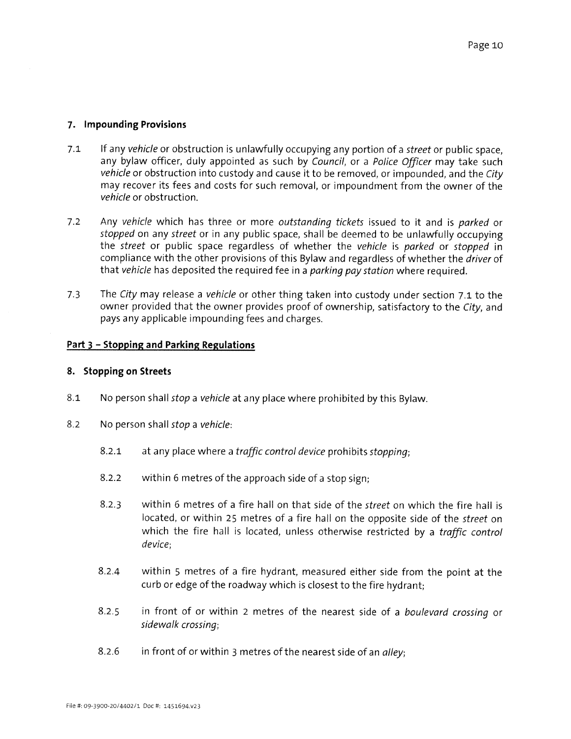# 7. Impounding Provisions

- 7.1 If any vehicle or obstruction is unlawfully occupying any portion of a street or public space, any bylaw officer, duly appointed as such by Council, or a Police Officer may take such vehicle or obstruction into custody and cause it to be removed, or impounded, and the City may recover its fees and costs for such removal, or impoundment from the owner of the vehicle or obstruction.
- 7.2 Any vehicle which has three or more outstanding tickets issued to it and is parked or stopped on any street or in any public space, shall be deemed to be unlawfully occupying the street or public space regardless of whether the vehicle is parked or stopped in compliance with the other provisions of this Bylaw and regardless of whether the driver of that vehicle has deposited the required fee in a parking pay station where required.
- 7.3 The City may release a vehicle or other thing taken into custody under section 7.1 to the owner provided that the owner provides proof of ownership, satisfactory to the City, and pays any applicable impounding fees and charges.

# Part <sup>3</sup> — Stopping and Parking Regulations

# 8. Stopping on Streets

- 8.1 No person shall *stop a vehicle* at any place where prohibited by this Bylaw.
- 8.2 No person shall stop a vehicle:
	- 8.2.1 at any place where a traffic control device prohibits stopping;
	- 8.2.2 within <sup>6</sup> metres of the approach side of a stop sign;
	- 8.2.3 within 6 metres of a fire hall on that side of the *street* on which the fire hall is located, or within 25 metres of <sup>a</sup> fire hall on the opposite side of the street on which the fire hall is located, unless otherwise restricted by a traffic control device;
	- 8.2.4 within <sup>5</sup> metres of <sup>a</sup> fire hydrant, measured either side from the point at the curb or edge of the roadway which is closest to the fire hydrant;
	- 8.2.5 in front of or within 2 metres of the nearest side of a boulevard crossing or sidewalk crossing;
	- 8.2.6 in front of or within 3 metres of the nearest side of an alley;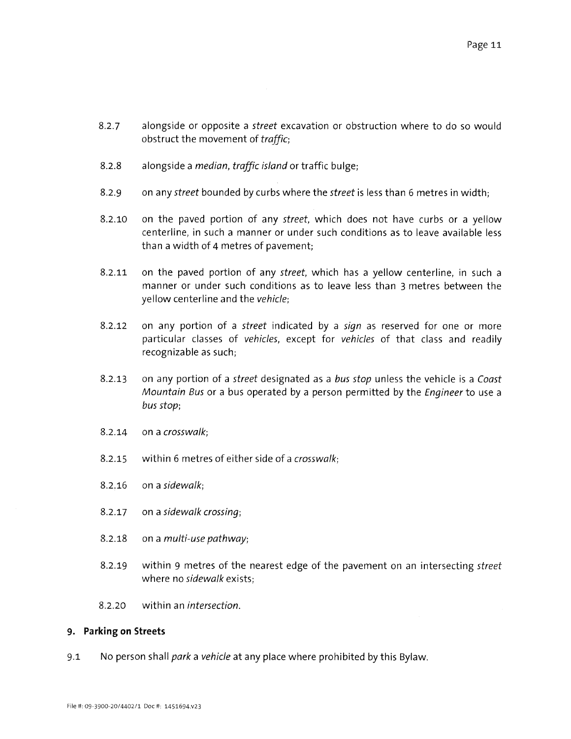- 8.2.7 alongside or opposite a street excavation or obstruction where to do so would obstruct the movement of traffic;
- 8.2.8 alongside a median, traffic island or traffic bulge;
- 8.2.9 on any *street* bounded by curbs where the *street* is less than 6 metres in width;
- 8.2.10 on the paved portion of any street, which does not have curbs or a yellow centerline, in such a manner or under such conditions as to leave available less than a width of 4 metres of pavement;
- 8.2.11 on the paved portion of any street, which has a yellow centerline, in such <sup>a</sup> manner or under such conditions as to leave less than <sup>3</sup> metres between the yellow centerline and the vehicle;
- 8.2.12 on any portion of a *street* indicated by a *sign* as reserved for one or more particular classes of vehicles, except for vehicles of that class and readily recognizable as such;
- 8.2.13 on any portion of a street designated as a bus stop unless the vehicle is a Coast Mountain Bus or a bus operated by <sup>a</sup> person permitted by the Engineer to use <sup>a</sup> bus stop;
- 8.2.14 on a crosswalk;
- 8.2.15 within 6 metres of either side of a crosswalk;
- 8.2.16 on a sidewalk;
- 8.2.17 on a sidewalk crossing;
- 8.2.18 on a multi-use pathway;
- 8.2.19 within 9 metres of the nearest edge of the pavement on an intersecting street where no sidewalk exists;
- 8.2.20 within an intersection.

# 9. Parking on Streets

9.1 No person shall park a vehicle at any place where prohibited by this Bylaw.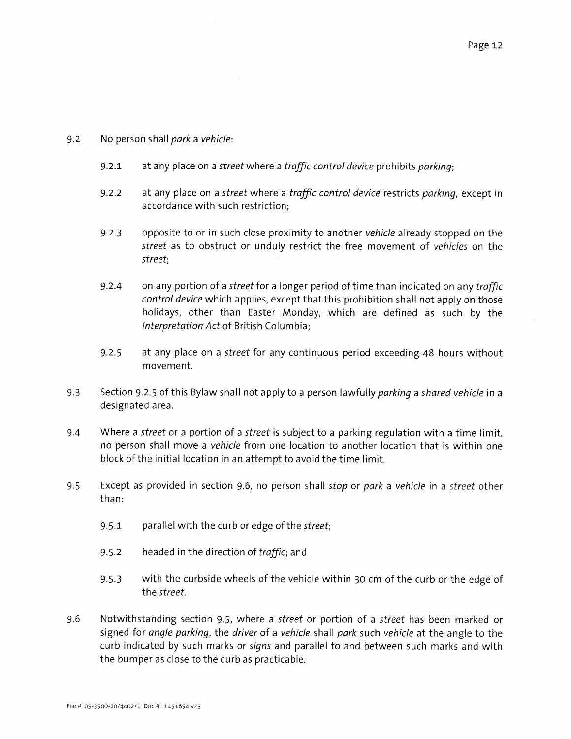# 9.2 No person shall park a vehicle:

- 9.2.1 at any place on a street where a traffic control device prohibits parking;
- 9.2.2 at any place on a street where a traffic control device restricts parking, except in accordance with such restriction;
- 9.2.3 opposite to or in such close proximity to another vehicle already stopped on the street as to obstruct or unduly restrict the free movement of vehicles on the street;
- 9.2.4 on any portion of a street for a longer period of time than indicated on any traffic control device which applies, except that this prohibition shall not apply on those holidays, other than Easter Monday, which are defined as such by the Interpretation Act of British Columbia;
- 9.2.5 at any place on a street for any continuous period exceeding 48 hours without movement.
- 9.3 Section 9.2.5 of this Bylaw shall not apply to a person lawfully *parking* a shared vehicle in a designated area.
- 9.4 Where a street or a portion of a street is subject to a parking regulation with a time limit, no person shall move a vehicle from one location to another location that is within one block of the initial location in an attempt to avoid the time limit.
- 9.5 Except as provided in section 9.6, no person shall *stop* or *park* a vehicle in a street other than:
	- 9.5.1 parallel with the curb or edge of the *street*;
	- 9.5.2 headed in the direction of traffic; and
	- 9.5.3 with the curbside wheels of the vehicle within 30 cm of the curb or the edge of the street.
- 9.6 Notwithstanding section 9.5, where a street or portion of a street has been marked or signed for angle parking, the driver of a vehicle shall park such vehicle at the angle to the curb indicated by such marks or signs and parallel to and between such marks and with the bumper as close to the curb as practicable.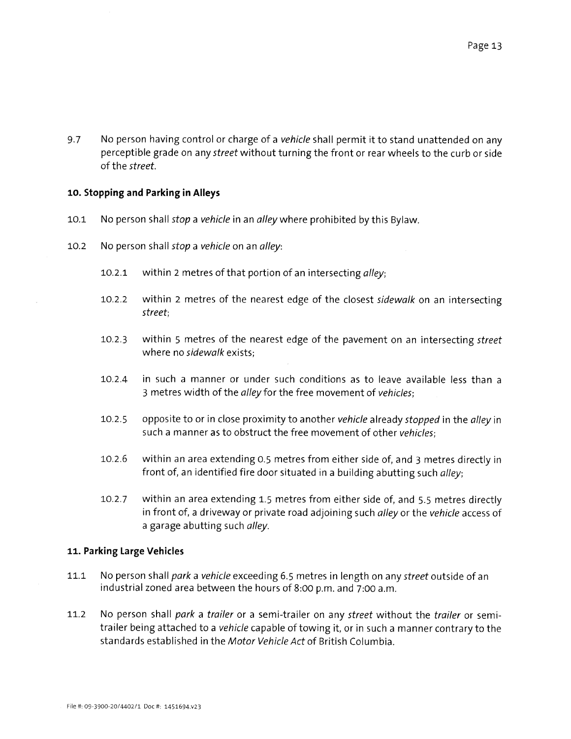9.7 No person having control or charge of a vehicle shall permit it to stand unattended on any perceptible grade on any *street* without turning the front or rear wheels to the curb or side of the street.

# 10. Stopping and Parking in Alleys

- 10.1 No person shall *stop a vehicle* in an *alley* where prohibited by this Bylaw.
- 10.2 No person shall stop a vehicle on an alley:
	- 10.2.1 within 2 metres of that portion of an intersecting alley;
	- 10.2.2 within 2 metres of the nearest edge of the closest sidewalk on an intersecting street;
	- 10.2.3 within 5 metres of the nearest edge of the pavement on an intersecting street where no sidewalk exists;
	- 10.2.4 in such <sup>a</sup> manner or under such conditions as to leave available less than <sup>a</sup> 3 metres width of the alley for the free movement of vehicles;
	- 10.2.5 opposite to or in close proximity to another vehicle already stopped in the alley in such a manner as to obstruct the free movement of other vehicles;
	- 10.2.6 within an area extending 0.5 metres from either side of, and <sup>3</sup> metres directly in front of, an identified fire door situated in a building abutting such alley;
	- 10.2.7 within an area extending 1.5 metres from either side of, and 5.5 metres directly in front of, a driveway or private road adjoining such *alley* or the vehicle access of a garage abutting such alley.

# 11. Parking Large Vehicles

- 11.1 No person shall park a vehicle exceeding 6.5 metres in length on any street outside of an industrial zoned area between the hours of 8:00 p.m. and 7:00 a.m.
- 11.2 No person shall park a trailer or a semi-trailer on any street without the trailer or semitrailer being attached to <sup>a</sup> vehicle capable of towing it, or in such <sup>a</sup> manner contrary to the standards established in the Motor Vehicle Act of British Columbia.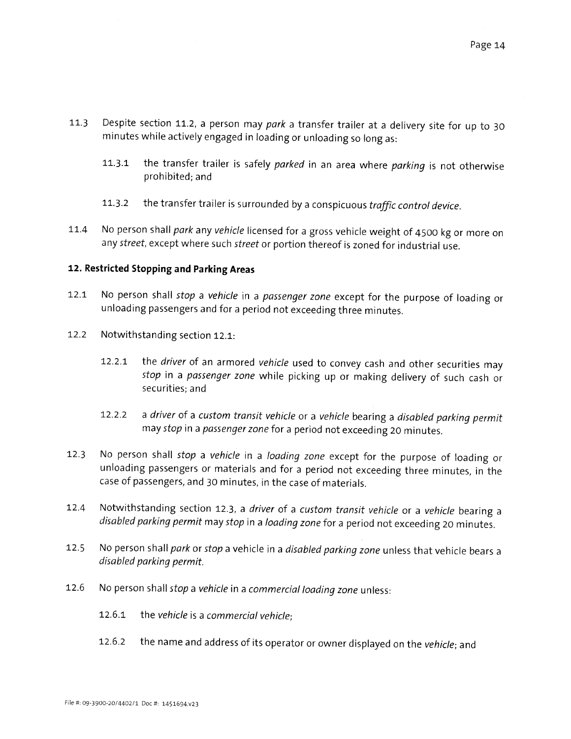- 11.3 Despite section 11.2, <sup>a</sup> person may par<sup>k</sup> <sup>a</sup> transfer trailer at <sup>a</sup> delivery site for up to <sup>30</sup> minutes while actively engaged in loading or unloading so long as:
	- 11.3.1 the transfer trailer is safely parked in an area where parking is not otherwise prohibited; and
	- 11.3.2 the transfer trailer is surrounded by a conspicuous traffic control device.
- 11.4 No person shall park any vehicle licensed for a gross vehicle weight of 4500 kg or more on any street, except where such street or portion thereof is zoned for industrial use.

# 12. Restricted Stopping and Parking Areas

- 12.1 No person shall stop a vehicle in a passenger zone except for the purpose of loading or unloading passengers and for <sup>a</sup> period not exceeding three minutes.
- 12.2 Notwithstanding section 12.1:
	- 12.2.1 the driver of an armored vehicle used to convey cash and other securities may stop in <sup>a</sup> passenger zone while <sup>p</sup>icking up or making delivery of such cash or securities; and
	- 12.2.2 <sup>a</sup> driver of <sup>a</sup> custom transit vehicle or <sup>a</sup> vehicle bearing <sup>a</sup> disabled parking permit may stop in <sup>a</sup> passenger zone for <sup>a</sup> period not exceeding <sup>20</sup> minutes.
- 12.3 No person shall stop a vehicle in a loading zone except for the purpose of loading or unloading passengers or materials and for <sup>a</sup> period not exceeding three minutes, in the case of passengers, and 30 minutes, in the case of materials.
- 12.4 Notwithstanding section 12.3, a driver of a custom transit vehicle or a vehicle bearing a disabled parking permit may stop in <sup>a</sup> loading zone for <sup>a</sup> period not exceeding <sup>20</sup> minutes.
- 12.5 No person shall park or stop a vehicle in a disabled parking zone unless that vehicle bears a disabled parking permit.
- 12.6 No person shall stop <sup>a</sup> vehicle in <sup>a</sup> commercial loading zone unless:
	- 12.6.1 the vehicle is a commercial vehicle;
	- 12.6.2 the name and address of its operator or owner displayed on the vehicle; and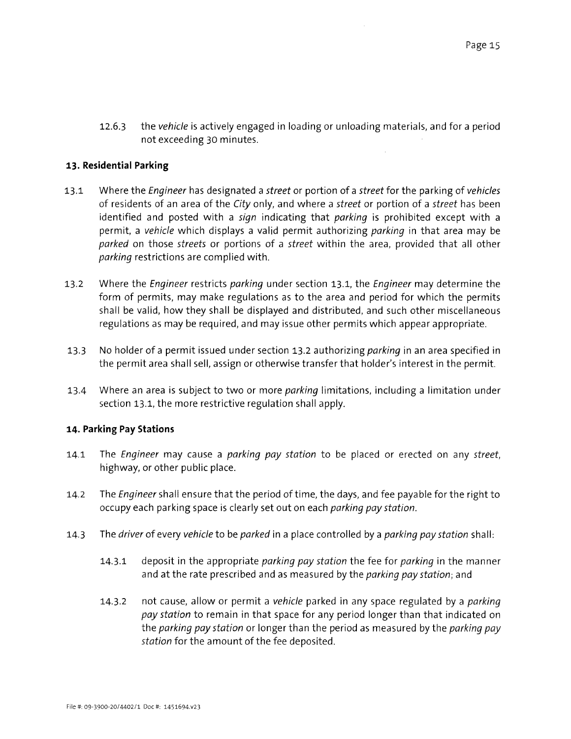12.6.3 the vehicle is actively engaged in loading or unloading materials, and for a period not exceeding 30 minutes.

#### 13. Residential Parking

- 13.1 Where the *Engineer* has designated a *street* or portion of a *street* for the parking of *vehicles* of residents of an area of the City only, and where a street or portion of a street has been identified and posted with a sign indicating that parking is prohibited except with a permit, a vehide which displays a valid permit authorizing parking in that area may be parked on those streets or portions of a street within the area, provided that all other parking restrictions are complied with.
- 13.2 Where the *Engineer* restricts parking under section 13.1, the *Engineer* may determine the form of permits, may make regulations as to the area and period for which the permits shall be valid, how they shall be displayed and distributed, and such other miscellaneous regulations as may be required, and may issue other permits which appear appropriate.
- 13.3 No holder of a permit issued under section 13.2 authorizing *parking* in an area specified in the permit area shall sell, assign or otherwise transferthat holder's interest in the permit
- 13.4 Where an area is subject to two or more *parking* limitations, including a limitation under section 13.1, the more restrictive regulation shall apply.

# 14. Parking Pay Stations

- 14.1 The Engineer may cause a parking pay station to be placed or erected on any street, highway, or other public place.
- 14.2 The *Engineer* shall ensure that the period of time, the days, and fee payable for the right to occupy each parking space is clearly set out on each parking pay station.
- 14.3 The *driver* of every vehicle to be parked in a place controlled by a parking pay station shall:
	- 14.3.1 deposit in the appropriate parking pay station the fee for parking in the manner and at the rate prescribed and as measured by the parking pay station; and
	- 14.3.2 not cause, allow or permit a vehicle parked in any space regulated by a *parking* pay station to remain in that space for any period longer than that indicated on the parking pay station or longer than the period as measured by the parking pay station for the amount of the fee deposited.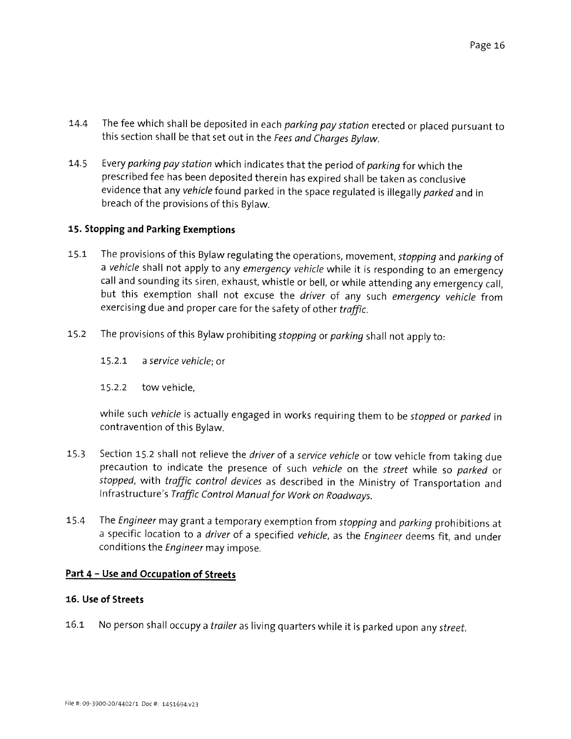- 14.4 The fee which shall be deposited in each parking pay station erected or placed pursuant to this section shall be that set out in the Fees and Charges Bylaw.
- 14.5 Every parking pay station which indicates that the period of parking for which the prescribed fee has been deposited therein has expired shall be taken as conclusive evidence that any vehicle found parked in the space regulated is illegally parked and in breach of the provisions of this Bylaw.

# 15. Stopping and Parking Exemptions

- 15.1 The provisions of this Bylaw regulating the operations, movement, stopping and parking of a vehicle shall not apply to any emergency vehicle while it is responding to an emergency call and sounding its siren, exhaust, whistle or bell, or while attending any emergency call, but this exemption shall not excuse the driver of any such emergency vehicle from exercising due and proper care for the safety of other traffic.
- 15.2 The provisions of this Bylaw prohibiting stopping or parking shall not apply to:
	- 15.2.1 <sup>a</sup> service vehicle; or
	- 15.2.2 tow vehicle,

while such vehicle is actually engaged in works requiring them to be stopped or parked in contravention of this Bylaw.

- 15.3 Section 15.2 shall not relieve the driver of a service vehicle or tow vehicle from taking due precaution to indicate the presence of such vehicle on the street while so parked or stopped, with traffic control devices as described in the Ministry of Transportation and Infrastructure's Traffic Control Manualfor Work on Roadways.
- 15.4 The Engineer may grant a temporary exemption from stopping and parking prohibitions at a specific location to a driver of a specified vehicle, as the Engineer deems fit, and under conditions the Engineer may impose.

# Part 4 – Use and Occupation of Streets

# 16. Use of Streets

16.1 No person shall occupy a trailer as living quarters while it is parked upon any street.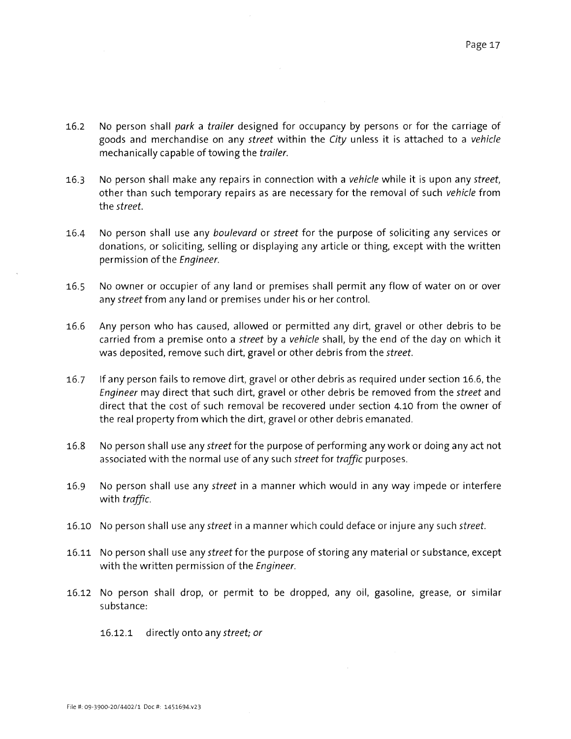- 16.2 No person shall park a trailer designed for occupancy by persons or for the carriage of goods and merchandise on any street within the City unless it is attached to a vehicle mechanically capable of towing the trailer.
- 16.3 No person shall make any repairs in connection with a vehicle while it is upon any street, other than such temporary repairs as are necessary for the removal of such vehicle from the street.
- 16.4 No person shall use any boulevard or street for the purpose of soliciting any services or donations, or soliciting, selling or displaying any article or thing, except with the written permission of the Engineer.
- 16.5 No owner or occupier of any land or premises shall permit any flow of water on or over any street from any land or premises under his or her control.
- 16.6 Any person who has caused, allowed or permitted any dirt, gravel or other debris to be carried from a premise onto a street by a vehicle shall, by the end of the day on which it was deposited, remove such dirt, gravel or other debris from the street.
- 16.7 If any person fails to remove dirt, gravel or other debris as required under section 16.6, the Engineer may direct that such dirt, gravel or other debris be removed from the street and direct that the cost of such removal be recovered under section 4.10 from the owner of the real property from which the dirt, gravel or other debris emanated.
- 16.8 No person shall use any street for the purpose of performing any work or doing any act not associated with the normal use of any such street for traffic purposes.
- 16.9 No person shall use any *street* in a manner which would in any way impede or interfere with traffic.
- 16.10 No person shall use any street in a manner which could deface or injure any such street.
- 16.11 No person shall use any street for the purpose of storing any material or substance, except with the written permission of the Engineer.
- 16.12 No person shall drop, or permit to be dropped, any oil, gasoline, grease, or similar substance:
	- 16.12.1 directly onto any street; or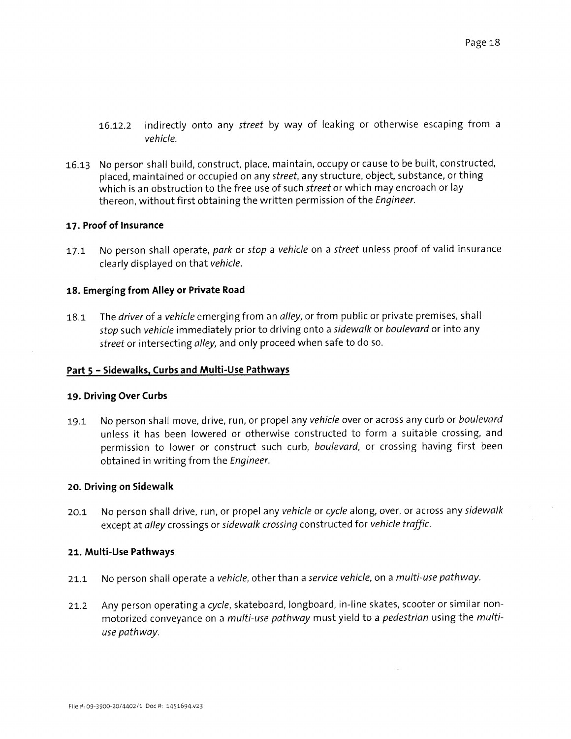- 16.12.2 indirectly onto any street by way of leaking or otherwise escaping from <sup>a</sup> vehicle.
- 16.13 No person shall build, construct, place, maintain, occupy or cause to be built, constructed, placed, maintained or occupied on any street, any structure, object, substance, or thing which is an obstruction to the free use of such street or which may encroach or lay thereon, without first obtaining the written permission of the Engineer.

#### 17. Proof of Insurance

17.1 No person shall operate, park or stop a vehicle on a street unless proof of valid insurance clearly displayed on that vehicle.

# 18. Emerging from Alley or Private Road

18.1 The *driver* of a *vehicle* emerging from an *alley*, or from public or private premises, shall stop such vehicle immediately prior to driving onto a sidewalk or boulevard or into any street or intersecting alley, and only proceed when safe to do so.

# Part <sup>5</sup> — Sidewalks, Curbs and Multi-Use Pathways

#### 19. Driving Over Curbs

19.1 No person shall move, drive, run, or propel any vehicle over or across any curb or boulevard unless it has been lowered or otherwise constructed to form <sup>a</sup> suitable crossing, and permission to lower or construct such curb, boulevard, or crossing having first been obtained in writing from the Engineer.

#### 20. Driving on Sidewalk

20.1 No person shall drive, run, or propel any vehicle or cycle along, over, or across any sidewalk except at alley crossings or sidewalk crossing constructed for vehicle traffic.

#### 21. Multi-Use Pathways

- 21.1 No person shall operate a vehicle, other than a service vehicle, on a multi-use pathway.
- 21.2 Any person operating a cycle, skateboard, longboard, in-line skates, scooter or similar nonmotorized conveyance on a *multi-use pathway* must yield to a *pedestrian* using the *multi*use pathway.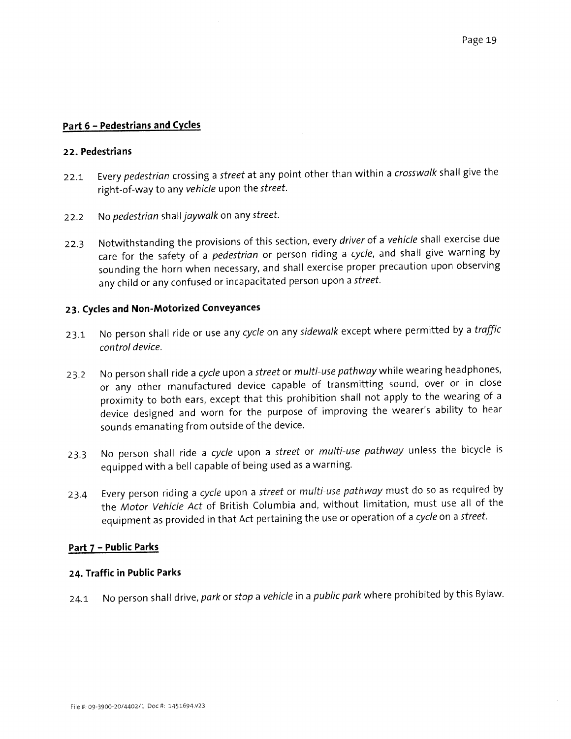# Part 6 — Pedestrians and Cycles

#### 22. Pedestrians

- 22.1 Every pedestrian crossing a street at any point other than within a crosswalk shall give the right-of-way to any vehicle upon the street.
- 22.2 No pedestrian shall jaywalk on any street.
- 22.3 Notwithstanding the provisions of this section, every driver of a vehicle shall exercise due care for the safety of a *pedestrian* or person riding a cycle, and shall give warning by sounding the horn when necessary, and shall exercise proper precaution upon observing any child or any confused or incapacitated person upon a street.

# 23. Cycles and Non-Motorized Conveyances

- 23.1 No person shall ride or use any cycle on any sidewalk except where permitted by a traffic control device.
- 23.2 No person shall ride a cycle upon a street or multi-use pathway while wearing headphones, or any other manufactured device capable of transmitting sound, over or in close proximity to both ears, excep<sup>t</sup> that this prohibition shall not apply to the wearing of <sup>a</sup> device designed and worn for the purpose of improving the wearer's ability to hear sounds emanating from outside of the device.
- 23.3 No person shall ride a cycle upon a street or multi-use pathway unless the bicycle is equipped with <sup>a</sup> bell capable of being used as <sup>a</sup> warning.
- 23.4 Every person riding a cycle upon a street or multi-use pathway must do so as required by the Motor Vehicle Act of British Columbia and, without limitation, must use all of the equipment as provided in that Act pertaining the use or operation of a cycle on a street.

# Part 7 — Public Parks

# 24. Traffic in Public Parks

24.1 No person shall drive, park or stop a vehicle in a public park where prohibited by this Bylaw.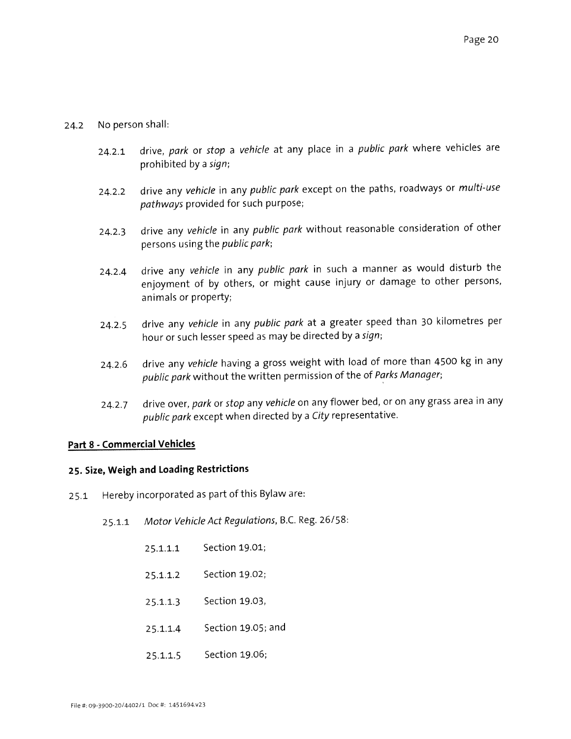# 24.2 No person shall:

- 24.2.1 drive, park or stop a vehicle at any place in a public park where vehicles are prohibited by <sup>a</sup> sign;
- 24.2.2 drive any vehicle in any public park except on the paths, roadways or multi-use pathways provided for such purpose;
- 24.2.3 drive any vehicle in any public park without reasonable consideration of other persons using the public park;
- 24.2.4 drive any vehicle in any public park in such a manner as would disturb the enjoyment of by others, or might cause injury or damage to other persons, animals or property;
- 24.2.5 drive any vehicle in any public park at a greater speed than 30 kilometres per hour or such lesser spee<sup>d</sup> as may be directed by <sup>a</sup> sign;
- 24.2.6 drive any vehicle having a gross weight with load of more than 4500 kg in any public park without the written permission of the of Parks Manager;
- 24.2.7 drive over, park or stop any vehicle on any flower bed, or on any grass area in any public park excep<sup>t</sup> when directed by <sup>a</sup> City representative.

# Part 8 - Commercial Vehicles

# 25. Size, Weigh and Loading Restrictions

- 25.1 Hereby incorporated as par<sup>t</sup> of this Bylaw are:
	- 25.1.1 Motor Vehicle Act Regulations, B.C. Reg. 26/58:
		- 25.1.1.1 Section 19.01;
		- $25.1.1.2$ Section 19.02;
		- 25.1.1.3 Section 19.03,
		- $25.1.1.4$ Section 19.05; and
		- $25.1.1.5$ Section 19.06;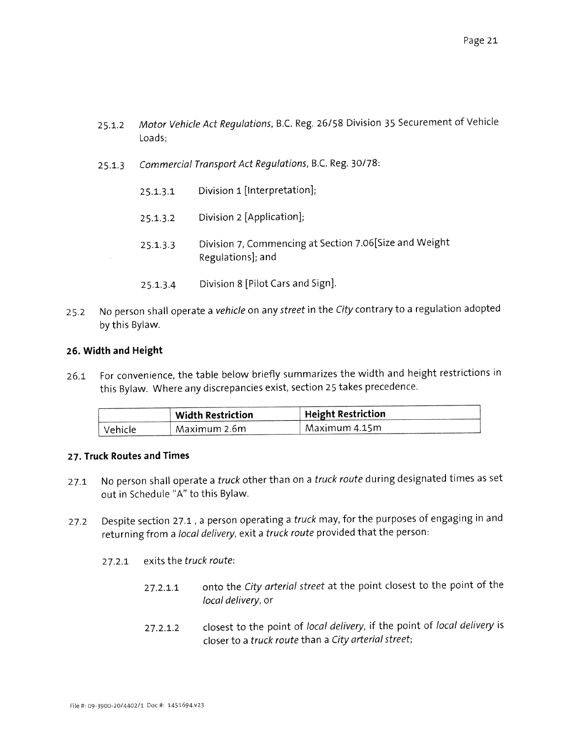- 25.1.2 Motor Vehicle Act Regulations, B.C. Reg. 26/58 Division <sup>35</sup> Securement of Vehicle Loads;
- 2S.1.3 Commercial Transport Act Regulations, B.C. Reg. 30/78:
	- 25.1.3.1 Division 1 [Interpretation];
	- 25.1.3.2 Division 2 [Application];
	- 25.1.3.3 Division 7, Commencing at Section 7.06[Size and Weight Regulations]; and
	- $25.1.3.4$ Division 8 [Pilot Cars and Sign].
- 25.2 No person shall operate a vehicle on any street in the City contrary to a regulation adopted by this Bylaw.

#### 26. Width and Height

26.1 For convenience, the table below briefly summarizes the width and height restrictions in this Bylaw. Where any discrepancies exist, section <sup>25</sup> takes precedence.

|         | <b>Width Restriction</b> | <sup>1</sup> Height Restriction |
|---------|--------------------------|---------------------------------|
| Vehicle | Maximum 2.6m             | Maximum 4.15m                   |

#### 27. Truck Routes and Times

- 27.1 No person shall operate a *truck* other than on a *truck route* during designated times as set out in Schedule "A" to this Bylaw.
- 27.2 Despite section 27.1, a person operating a *truck* may, for the purposes of engaging in and returning from <sup>a</sup> local delivery, exit <sup>a</sup> truck route provided that the person:
	- $27.2.1$ exits the truck route:
		- 27.2.1.1 onto the City arterial street at the point closest to the point of the local delivery, or
		- $27.2.1.2$ closest to the point of local delivery, if the point of local delivery is closer to <sup>a</sup> truck route than <sup>a</sup> City arterial street;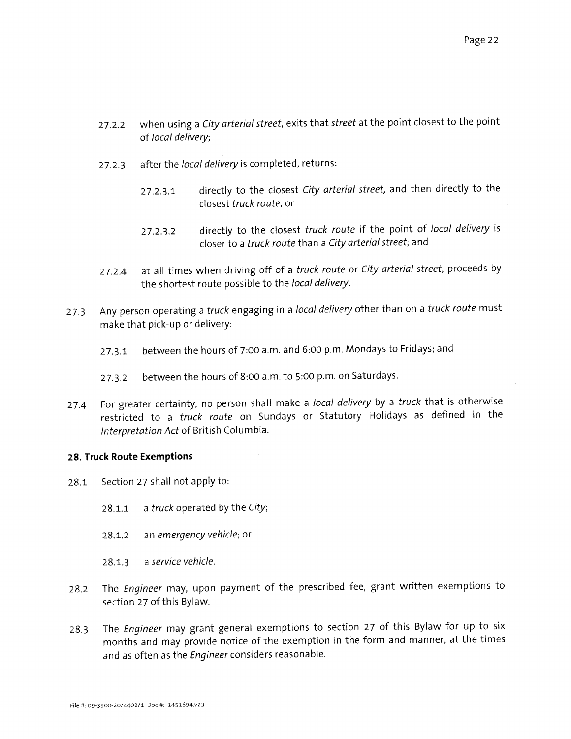- 27.2.2 when using a City arterial street, exits that street at the point closest to the point of local delivery;
- 27.2.3 after the local delivery is completed, returns:
	- 27.2.3.1 directly to the closest City arterial street, and then directly to the closest truck route, or
	- 27.2.3.2 directly to the closest truck route if the point of local delivery is closer to a truck route than a City arterial street; and
- 27.2.4 at all times when driving off of a truck route or City arterial street, proceeds by the shortest route possible to the local delivery.
- 27.3 Any person operating a truck engaging in a local delivery other than on a truck route must make that pick-up or delivery:
	- 27.3.1 between the hours of 7:00 a.m. and 6:00 p.m. Mondays to Fridays; and
	- 27.3.2 between the hours of 8:00 a.m. to 5:00 p.m. on Saturdays.
- 27.4 For greater certainty, no person shall make a local delivery by a truck that is otherwise restricted to <sup>a</sup> truck route on Sundays or Statutory Holidays as defined in the Interpretation Act of British Columbia.

# 28. Truck Route Exemptions

- 28.1 Section 27 shall not apply to:
	- 28.1.1 a truck operated by the City;
	- 28.1.2 an emergency vehicle; or
	- 28.1.3 <sup>a</sup> service vehicle.
- 28.2 The Engineer may, upon payment of the prescribed fee, grant written exemptions to section 27 of this Bylaw.
- 28.3 The Engineer may gran<sup>t</sup> genera<sup>l</sup> exemptions to section <sup>27</sup> of this Bylaw for up to six months and may provide notice of the exemption in the form and manner, at the times and as often as the *Engineer* considers reasonable.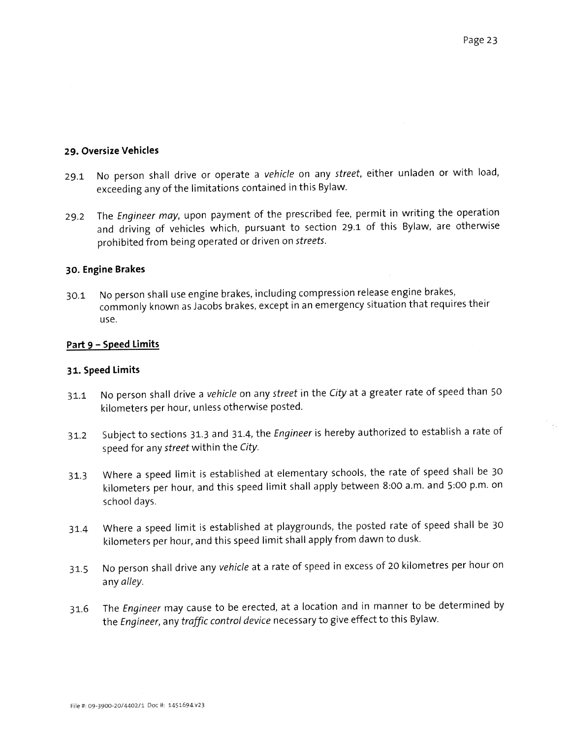$\mathcal{L}_{\mathcal{L}}$ 

#### 29. Oversize Vehicles

- 29.1 No person shall drive or operate a vehicle on any street, either unladen or with load, exceeding any of the limitations contained in this Bylaw.
- 29.2 The Engineer may, upon payment of the prescribed fee, permit in writing the operation and driving of vehicles which, pursuan<sup>t</sup> to section 29.1 of this Bylaw, are otherwise prohibited from being operated or driven on streets.

# 30. Engine Brakes

30.1 No person shall use engine brakes, including compression release engine brakes, commonly known as Jacobs brakes, excep<sup>t</sup> in an emergency situation that requires their use.

#### Part 9 - Speed Limits

#### 31. Speed Limits

- 31.1 No person shall drive a vehicle on any street in the City at a greater rate of speed than 50 kilometers per hour, unless otherwise posted.
- 31.2 Subject to sections 31.3 and 31.4, the *Engineer* is hereby authorized to establish a rate of spee<sup>d</sup> for any street within the City.
- 31.3 Where <sup>a</sup> spee<sup>d</sup> limit is established at elementary schools, the rate of spee<sup>d</sup> shall be <sup>30</sup> kilometers per hour, and this spee<sup>d</sup> limit shall apply between 8:00 am. and 5:00 p.m. on school days.
- 31.4 Where <sup>a</sup> spee<sup>d</sup> limit is established at <sup>p</sup>laygrounds, the posted rate of spee<sup>d</sup> shall be <sup>30</sup> kilometers per hour, and this spee<sup>d</sup> limit shall apply from dawn to dusk.
- 31.5 No person shall drive any vehicle at <sup>a</sup> rate of spee<sup>d</sup> in excess of <sup>20</sup> kilometres per hour on any alley.
- 31.6 The Engineer may cause to be erected, at a location and in manner to be determined by the Engineer, any traffic control device necessary to <sup>g</sup>ive effect to this Bylaw.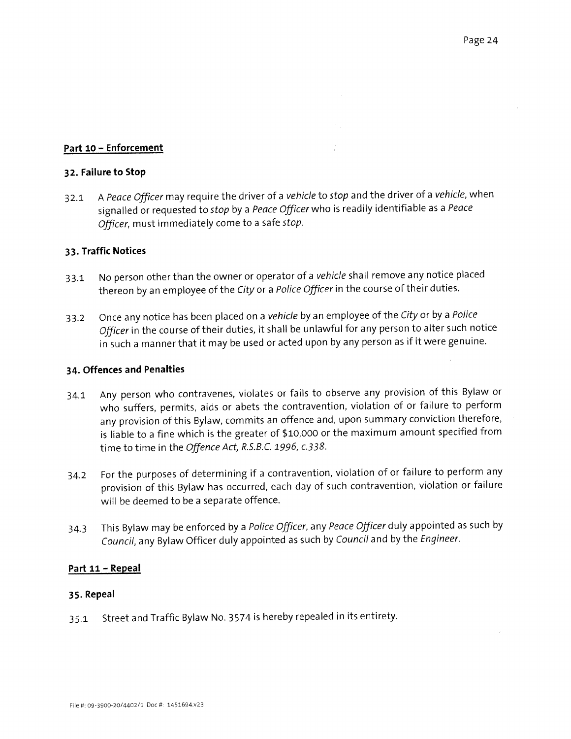# Part 10 - Enforcement

### 32. Failure to Stop

32.1 A Peace Officer may require the driver of a vehicle to stop and the driver of a vehicle, when signalled or requested to stop by a Peace Officer who is readily identifiable as a Peace Officer, must immediately come to <sup>a</sup> safe stop.

# 33. Traffic Notices

- 33.1 No person other than the owner or operator of a vehicle shall remove any notice placed thereon by an employee of the City or a Police Officer in the course of their duties.
- 33.2 Once any notice has been placed on a vehicle by an employee of the City or by a Police Officer in the course of their duties, it shall be unlawful for any person to alter such notice in such <sup>a</sup> manner that it may be used or acted upon by any person as if it were genuine.

#### 34. Offences and Penalties

- 34.1 Any person who contravenes, violates or fails to observe any provision of this Bylaw or who suffers, permits, aids or abets the contravention, violation of or failure to perform any provision of this Bylaw, commits an offence and, upon summary conviction therefore, is liable to <sup>a</sup> fine which is the greater of \$10,000 or the maximum amount specified from time to time in the Offence Act, R.S.B.C. 1996, c.338.
- 34.2 For the purposes of determining if <sup>a</sup> contravention, violation of or failure to perform any provision of this Bylaw has occurred, each day of such contravention, violation or failure will be deemed to be <sup>a</sup> separate offence.
- 34.3 This Bylaw may be enforced by a Police Officer, any Peace Officer duly appointed as such by Council, any Bylaw Officer duly appointed as such by Council and by the Engineer.

# Part 11 — Repeal

#### 35. Repeal

35.1 Street and Traffic Bylaw No. <sup>3574</sup> is hereby repealed in its entirety.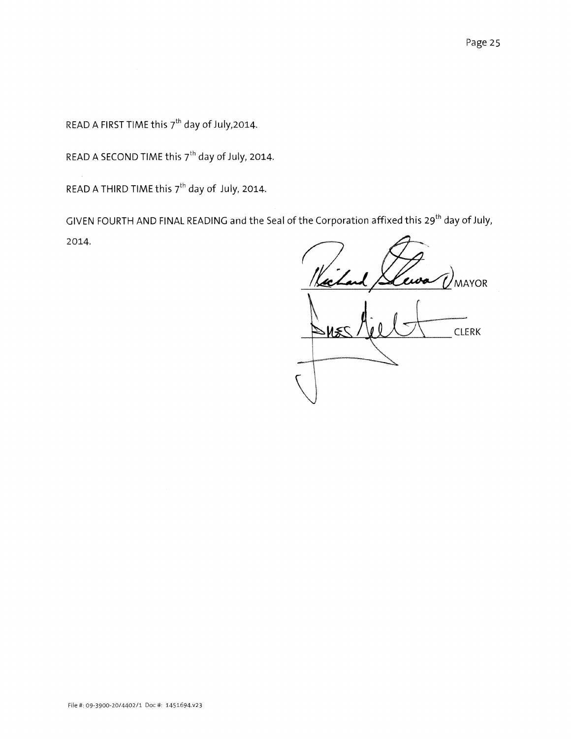READ A FIRST TIME this  $7<sup>th</sup>$  day of July,2014.

READ A SECOND TIME this  $7^{\text{th}}$  day of July, 2014.

READ A THIRD TIME this  $7^{th}$  day of July, 2014.

GIVEN FOURTH AND FINAL READING and the Seal of the Corporation affixed this 29<sup>th</sup> day of July, 2014.

ewo **MAYOR CLERK**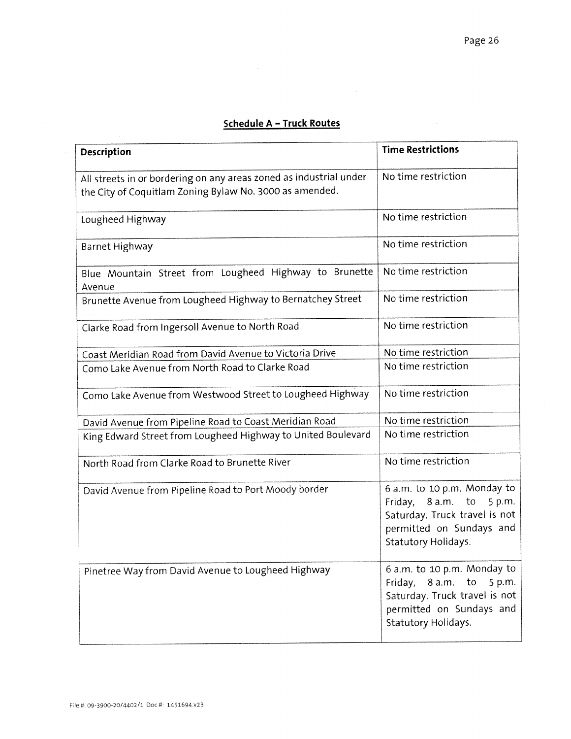# Schedule A — Truck Routes

 $\mathcal{L}^{(1)}$ 

 $\mathcal{L}_{\mathcal{A}}$ 

| Description                                                                                                                   | <b>Time Restrictions</b>                                                                                                                             |
|-------------------------------------------------------------------------------------------------------------------------------|------------------------------------------------------------------------------------------------------------------------------------------------------|
| All streets in or bordering on any areas zoned as industrial under<br>the City of Coquitlam Zoning Bylaw No. 3000 as amended. | No time restriction                                                                                                                                  |
| Lougheed Highway                                                                                                              | No time restriction                                                                                                                                  |
| Barnet Highway                                                                                                                | No time restriction                                                                                                                                  |
| Blue Mountain Street from Lougheed Highway to Brunette<br>Avenue                                                              | No time restriction                                                                                                                                  |
| Brunette Avenue from Lougheed Highway to Bernatchey Street                                                                    | No time restriction                                                                                                                                  |
| Clarke Road from Ingersoll Avenue to North Road                                                                               | No time restriction                                                                                                                                  |
| Coast Meridian Road from David Avenue to Victoria Drive                                                                       | No time restriction                                                                                                                                  |
| Como Lake Avenue from North Road to Clarke Road                                                                               | No time restriction                                                                                                                                  |
| Como Lake Avenue from Westwood Street to Lougheed Highway                                                                     | No time restriction                                                                                                                                  |
| David Avenue from Pipeline Road to Coast Meridian Road                                                                        | No time restriction                                                                                                                                  |
| King Edward Street from Lougheed Highway to United Boulevard                                                                  | No time restriction                                                                                                                                  |
| North Road from Clarke Road to Brunette River                                                                                 | No time restriction                                                                                                                                  |
| David Avenue from Pipeline Road to Port Moody border                                                                          | 6 a.m. to 10 p.m. Monday to<br>8 a.m.<br>to<br>5 p.m.<br>Friday,<br>Saturday. Truck travel is not<br>permitted on Sundays and<br>Statutory Holidays. |
| Pinetree Way from David Avenue to Lougheed Highway                                                                            | 6 a.m. to 10 p.m. Monday to<br>Friday, 8 a.m. to<br>5 p.m.<br>Saturday. Truck travel is not<br>permitted on Sundays and<br>Statutory Holidays.       |